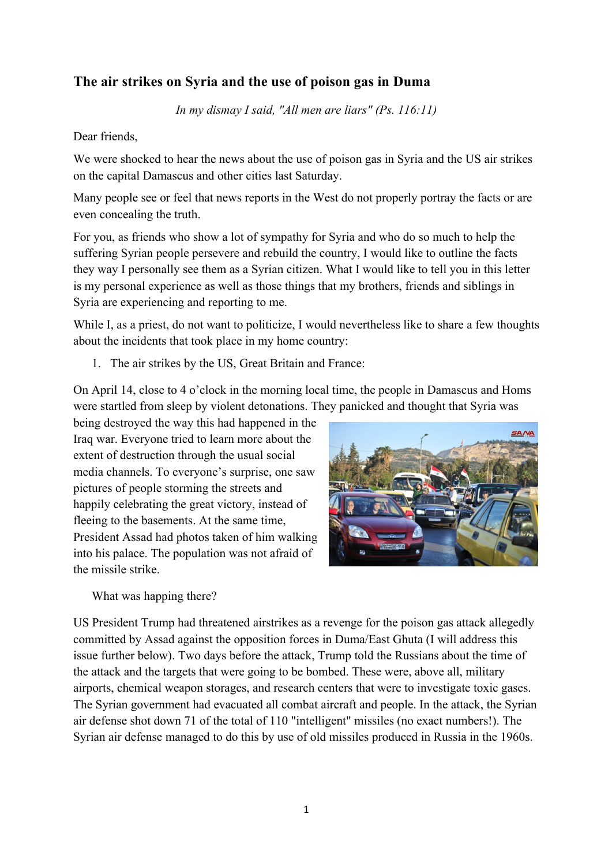## **The air strikes on Syria and the use of poison gas in Duma**

*In my dismay I said, "All men are liars" (Ps. 116:11)*

Dear friends,

We were shocked to hear the news about the use of poison gas in Syria and the US air strikes on the capital Damascus and other cities last Saturday.

Many people see or feel that news reports in the West do not properly portray the facts or are even concealing the truth.

For you, as friends who show a lot of sympathy for Syria and who do so much to help the suffering Syrian people persevere and rebuild the country, I would like to outline the facts they way I personally see them as a Syrian citizen. What I would like to tell you in this letter is my personal experience as well as those things that my brothers, friends and siblings in Syria are experiencing and reporting to me.

While I, as a priest, do not want to politicize, I would nevertheless like to share a few thoughts about the incidents that took place in my home country:

1. The air strikes by the US, Great Britain and France:

On April 14, close to 4 o'clock in the morning local time, the people in Damascus and Homs were startled from sleep by violent detonations. They panicked and thought that Syria was

being destroyed the way this had happened in the Iraq war. Everyone tried to learn more about the extent of destruction through the usual social media channels. To everyone's surprise, one saw pictures of people storming the streets and happily celebrating the great victory, instead of fleeing to the basements. At the same time, President Assad had photos taken of him walking into his palace. The population was not afraid of the missile strike.



What was happing there?

US President Trump had threatened airstrikes as a revenge for the poison gas attack allegedly committed by Assad against the opposition forces in Duma/East Ghuta (I will address this issue further below). Two days before the attack, Trump told the Russians about the time of the attack and the targets that were going to be bombed. These were, above all, military airports, chemical weapon storages, and research centers that were to investigate toxic gases. The Syrian government had evacuated all combat aircraft and people. In the attack, the Syrian air defense shot down 71 of the total of 110 "intelligent" missiles (no exact numbers!). The Syrian air defense managed to do this by use of old missiles produced in Russia in the 1960s.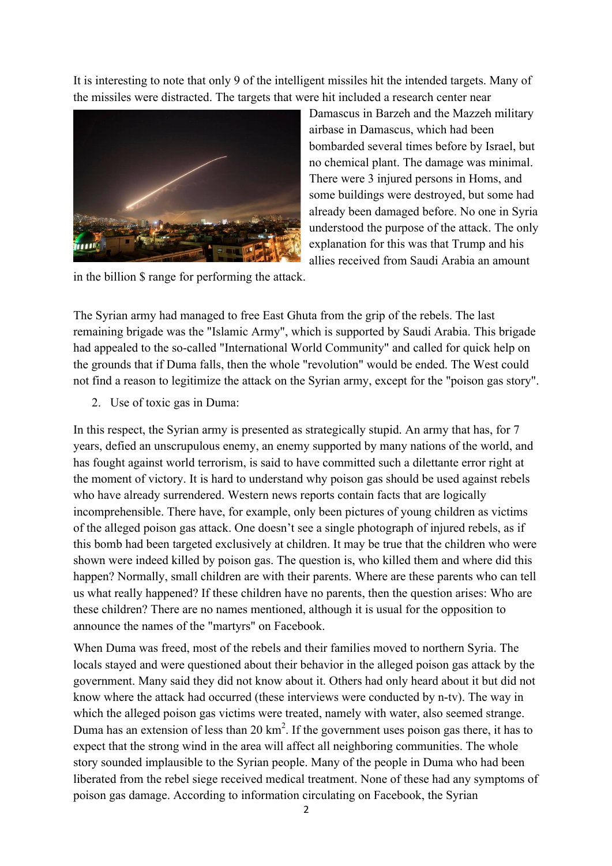It is interesting to note that only 9 of the intelligent missiles hit the intended targets. Many of the missiles were distracted. The targets that were hit included a research center near



Damascus in Barzeh and the Mazzeh military airbase in Damascus, which had been bombarded several times before by Israel, but no chemical plant. The damage was minimal. There were 3 injured persons in Homs, and some buildings were destroyed, but some had already been damaged before. No one in Syria understood the purpose of the attack. The only explanation for this was that Trump and his allies received from Saudi Arabia an amount

in the billion \$ range for performing the attack.

The Syrian army had managed to free East Ghuta from the grip of the rebels. The last remaining brigade was the "Islamic Army", which is supported by Saudi Arabia. This brigade had appealed to the so-called "International World Community" and called for quick help on the grounds that if Duma falls, then the whole "revolution" would be ended. The West could not find a reason to legitimize the attack on the Syrian army, except for the "poison gas story".

2. Use of toxic gas in Duma:

In this respect, the Syrian army is presented as strategically stupid. An army that has, for 7 years, defied an unscrupulous enemy, an enemy supported by many nations of the world, and has fought against world terrorism, is said to have committed such a dilettante error right at the moment of victory. It is hard to understand why poison gas should be used against rebels who have already surrendered. Western news reports contain facts that are logically incomprehensible. There have, for example, only been pictures of young children as victims of the alleged poison gas attack. One doesn't see a single photograph of injured rebels, as if this bomb had been targeted exclusively at children. It may be true that the children who were shown were indeed killed by poison gas. The question is, who killed them and where did this happen? Normally, small children are with their parents. Where are these parents who can tell us what really happened? If these children have no parents, then the question arises: Who are these children? There are no names mentioned, although it is usual for the opposition to announce the names of the "martyrs" on Facebook.

When Duma was freed, most of the rebels and their families moved to northern Syria. The locals stayed and were questioned about their behavior in the alleged poison gas attack by the government. Many said they did not know about it. Others had only heard about it but did not know where the attack had occurred (these interviews were conducted by n-tv). The way in which the alleged poison gas victims were treated, namely with water, also seemed strange. Duma has an extension of less than 20  $\text{km}^2$ . If the government uses poison gas there, it has to expect that the strong wind in the area will affect all neighboring communities. The whole story sounded implausible to the Syrian people. Many of the people in Duma who had been liberated from the rebel siege received medical treatment. None of these had any symptoms of poison gas damage. According to information circulating on Facebook, the Syrian